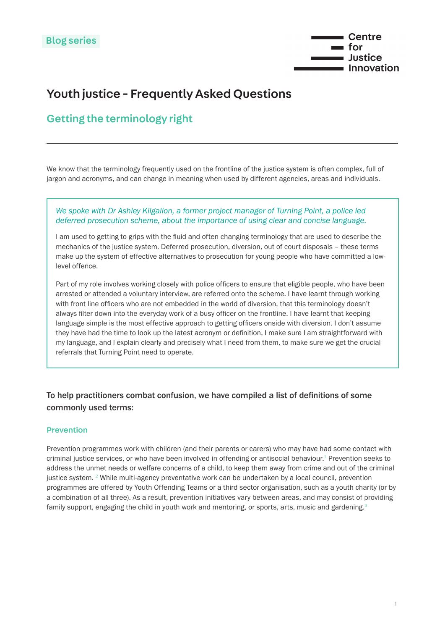

# <span id="page-0-0"></span>Youth justice - Frequently Asked Questions

## Getting the terminology right

We know that the terminology frequently used on the frontline of the justice system is often complex, full of jargon and acronyms, and can change in meaning when used by different agencies, areas and individuals.

#### *We spoke with Dr Ashley Kilgallon, a former project manager of Turning Point, a police led deferred prosecution scheme, about the importance of using clear and concise language.*

I am used to getting to grips with the fluid and often changing terminology that are used to describe the mechanics of the justice system. Deferred prosecution, diversion, out of court disposals – these terms make up the system of effective alternatives to prosecution for young people who have committed a lowlevel offence.

Part of my role involves working closely with police officers to ensure that eligible people, who have been arrested or attended a voluntary interview, are referred onto the scheme. I have learnt through working with front line officers who are not embedded in the world of diversion, that this terminology doesn't always filter down into the everyday work of a busy officer on the frontline. I have learnt that keeping language simple is the most effective approach to getting officers onside with diversion. I don't assume they have had the time to look up the latest acronym or definition, I make sure I am straightforward with my language, and I explain clearly and precisely what I need from them, to make sure we get the crucial referrals that Turning Point need to operate.

### To help practitioners combat confusion, we have compiled a list of definitions of some commonly used terms:

#### Prevention

Prevention programmes work with children (and their parents or carers) who may have had some contact with criminal justice services, or who have been involved in offending or antisocial behaviour.<sup>[1](#page-3-0)</sup> Prevention seeks to address the unmet needs or welfare concerns of a child, to keep them away from crime and out of the criminal justice system. [2](#page-3-0) While multi-agency preventative work can be undertaken by a local council, prevention programmes are offered by Youth Offending Teams or a third sector organisation, such as a youth charity (or by a combination of all three). As a result, prevention initiatives vary between areas, and may consist of providing family support, engaging the child in youth work and mentoring, or sports, arts, music and gardening.<sup>[3](#page-3-0)</sup>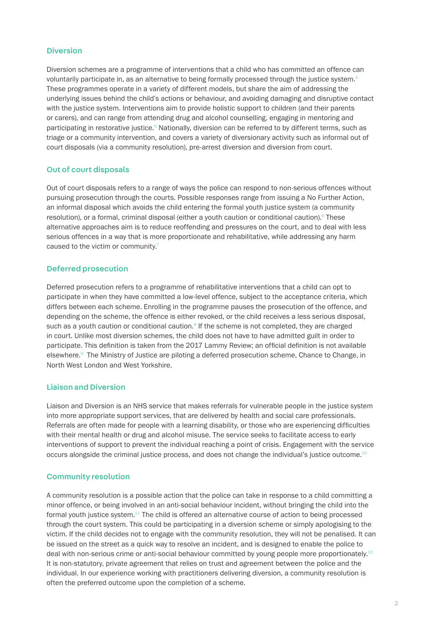#### <span id="page-1-0"></span>Diversion

Diversion schemes are a programme of interventions that a child who has committed an offence can voluntarily participate in, as an alternative to being formally processed through the justice system.<sup>[4](#page-3-0)</sup> These programmes operate in a variety of different models, but share the aim of addressing the underlying issues behind the child's actions or behaviour, and avoiding damaging and disruptive contact with the justice system. Interventions aim to provide holistic support to children (and their parents or carers), and can range from attending drug and alcohol counselling, engaging in mentoring and participating in restorative justice.<sup>5</sup> Nationally, diversion can be referred to by different terms, such as triage or a community intervention, and covers a variety of diversionary activity such as informal out of court disposals (via a community resolution), pre-arrest diversion and diversion from court.

#### Out of court disposals

Out of court disposals refers to a range of ways the police can respond to non-serious offences without pursuing prosecution through the courts. Possible responses range from issuing a No Further Action, an informal disposal which avoids the child entering the formal youth justice system (a community resolution), or a formal, criminal disposal (either a youth caution or conditional caution).<sup>6</sup> These alternative approaches aim is to reduce reoffending and pressures on the court, and to deal with less serious offences in a way that is more proportionate and rehabilitative, while addressing any harm caused to the victim or community.<sup>7</sup>

#### Deferred prosecution

Deferred prosecution refers to a programme of rehabilitative interventions that a child can opt to participate in when they have committed a low-level offence, subject to the acceptance criteria, which differs between each scheme. Enrolling in the programme pauses the prosecution of the offence, and depending on the scheme, the offence is either revoked, or the child receives a less serious disposal, such as a youth caution or conditional caution.<sup>8</sup> If the scheme is not completed, they are charged in court. Unlike most diversion schemes, the child does not have to have admitted guilt in order to participate. This definition is taken from the 2017 Lammy Review; an official definition is not available elsewhere.[9](#page-3-0) The Ministry of Justice are piloting a deferred prosecution scheme, Chance to Change, in North West London and West Yorkshire.

#### Liaison and Diversion

Liaison and Diversion is an NHS service that makes referrals for vulnerable people in the justice system into more appropriate support services, that are delivered by health and social care professionals. Referrals are often made for people with a learning disability, or those who are experiencing difficulties with their mental health or drug and alcohol misuse. The service seeks to facilitate access to early interventions of support to prevent the individual reaching a point of crisis. Engagement with the service occurs alongside the criminal justice process, and does not change the individual's justice outcome[.10](#page-3-0)

#### Community resolution

A community resolution is a possible action that the police can take in response to a child committing a minor offence, or being involved in an anti-social behaviour incident, without bringing the child into the formal youth justice system.<sup>[11](#page-3-0)</sup> The child is offered an alternative course of action to being processed through the court system. This could be participating in a diversion scheme or simply apologising to the victim. If the child decides not to engage with the community resolution, they will not be penalised. It can be issued on the street as a quick way to resolve an incident, and is designed to enable the police to deal with non-serious crime or anti-social behaviour committed by young people more proportionately[.12](#page-3-0) It is non-statutory, private agreement that relies on trust and agreement between the police and the individual. In our experience working with practitioners delivering diversion, a community resolution is often the preferred outcome upon the completion of a scheme.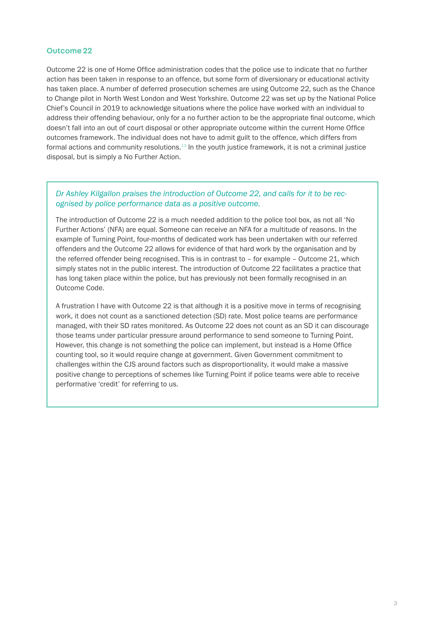#### <span id="page-2-0"></span>Outcome 22

Outcome 22 is one of Home Office administration codes that the police use to indicate that no further action has been taken in response to an offence, but some form of diversionary or educational activity has taken place. A number of deferred prosecution schemes are using Outcome 22, such as the Chance to Change pilot in North West London and West Yorkshire. Outcome 22 was set up by the National Police Chief's Council in 2019 to acknowledge situations where the police have worked with an individual to address their offending behaviour, only for a no further action to be the appropriate final outcome, which doesn't fall into an out of court disposal or other appropriate outcome within the current Home Office outcomes framework. The individual does not have to admit guilt to the offence, which differs from formal actions and community resolutions[.13](#page-3-0) In the youth justice framework, it is not a criminal justice disposal, but is simply a No Further Action.

#### *Dr Ashley Kilgallon praises the introduction of Outcome 22, and calls for it to be recognised by police performance data as a positive outcome.*

The introduction of Outcome 22 is a much needed addition to the police tool box, as not all 'No Further Actions' (NFA) are equal. Someone can receive an NFA for a multitude of reasons. In the example of Turning Point, four-months of dedicated work has been undertaken with our referred offenders and the Outcome 22 allows for evidence of that hard work by the organisation and by the referred offender being recognised. This is in contrast to – for example – Outcome 21, which simply states not in the public interest. The introduction of Outcome 22 facilitates a practice that has long taken place within the police, but has previously not been formally recognised in an Outcome Code.

A frustration I have with Outcome 22 is that although it is a positive move in terms of recognising work, it does not count as a sanctioned detection (SD) rate. Most police teams are performance managed, with their SD rates monitored. As Outcome 22 does not count as an SD it can discourage those teams under particular pressure around performance to send someone to Turning Point. However, this change is not something the police can implement, but instead is a Home Office counting tool, so it would require change at government. Given Government commitment to challenges within the CJS around factors such as disproportionality, it would make a massive positive change to perceptions of schemes like Turning Point if police teams were able to receive performative 'credit' for referring to us.